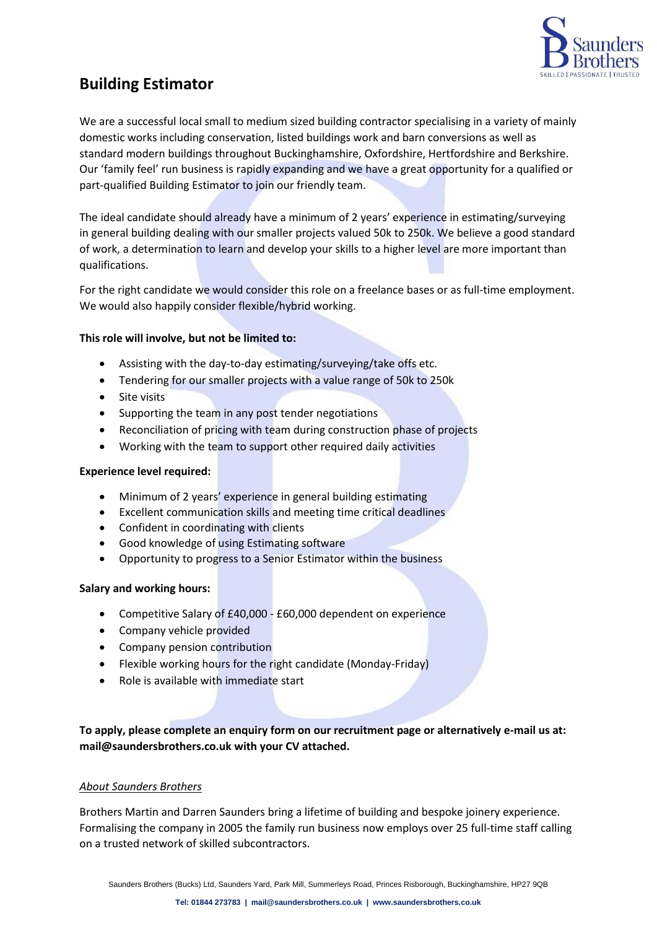

# **Building Estimator**

We are a successful local small to medium sized building contractor specialising in a variety of mainly domestic works including conservation, listed buildings work and barn conversions as well as standard modern buildings throughout Buckinghamshire, Oxfordshire, Hertfordshire and Berkshire. Our 'family feel' run business is rapidly expanding and we have a great opportunity for a qualified or part-qualified Building Estimator to join our friendly team.

The ideal candidate should already have a minimum of 2 years' experience in estimating/surveying in general building dealing with our smaller projects valued 50k to 250k. We believe a good standard of work, a determination to learn and develop your skills to a higher level are more important than qualifications.

For the right candidate we would consider this role on a freelance bases or as full-time employment. We would also happily consider flexible/hybrid working.

## **This role will involve, but not be limited to:**

- Assisting with the day-to-day estimating/surveying/take offs etc.
- Tendering for our smaller projects with a value range of 50k to 250k
- Site visits
- Supporting the team in any post tender negotiations
- Reconciliation of pricing with team during construction phase of projects
- Working with the team to support other required daily activities

### **Experience level required:**

- Minimum of 2 years' experience in general building estimating
- Excellent communication skills and meeting time critical deadlines
- Confident in coordinating with clients
- Good knowledge of using Estimating software
- Opportunity to progress to a Senior Estimator within the business

### **Salary and working hours:**

- Competitive Salary of £40,000 £60,000 dependent on experience
- Company vehicle provided
- Company pension contribution
- Flexible working hours for the right candidate (Monday-Friday)
- Role is available with immediate start

**To apply, please complete an enquiry form on our recruitment page or alternatively e-mail us at: mail@saundersbrothers.co.uk with your CV attached.**

### *About Saunders Brothers*

Brothers Martin and Darren Saunders bring a lifetime of building and bespoke joinery experience. Formalising the company in 2005 the family run business now employs over 25 full-time staff calling on a trusted network of skilled subcontractors.